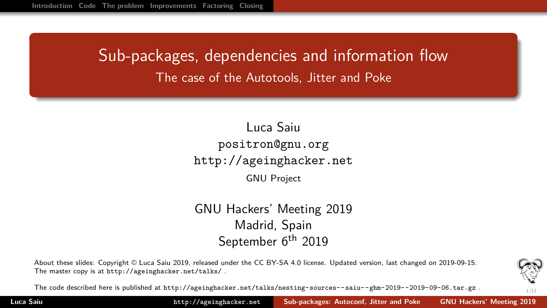# <span id="page-0-0"></span>Sub-packages, dependencies and information flow The case of the Autotools, Jitter and Poke

#### Luca Saiu positron@gnu.org <http://ageinghacker.net> GNU Project

#### GNU Hackers' Meeting 2019 Madrid, Spain September 6<sup>th</sup> 2019

About these slides: Copyright © Luca Saiu 2019, released under the CC BY-SA 4.0 license. Updated version, last changed on 2019-09-15. The master copy is at <http://ageinghacker.net/talks/> .



The code described here is published at <http://ageinghacker.net/talks/nesting-sources--saiu--ghm-2019--2019-09-06.tar.gz> .

**Luca Saiu http://ageinghacker.net [Sub-packages: Autoconf, Jitter and Poke GNU Hackers' Meeting 2019](#page-11-0)**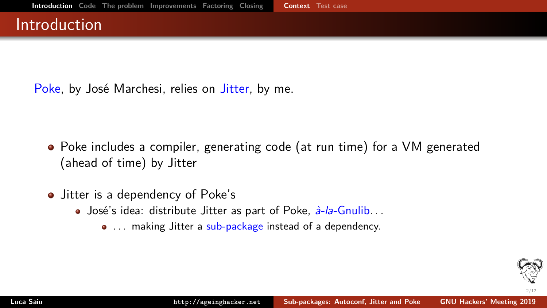#### <span id="page-1-0"></span>Introduction

Poke, by José Marchesi, relies on Jitter, by me.

- Poke includes a compiler, generating code (at run time) for a VM generated (ahead of time) by Jitter
- Jitter is a dependency of Poke's
	- José's idea: distribute Jitter as part of Poke,  $\frac{\partial^2}{\partial x^2}$ -Gnulib...
		- ... making Jitter a sub-package instead of a dependency.

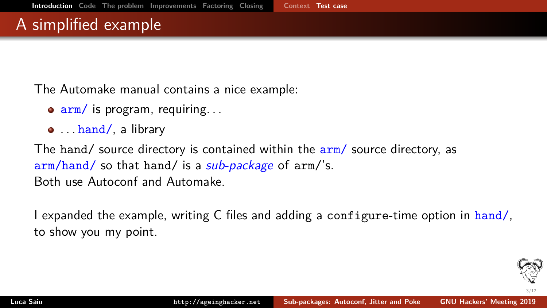### <span id="page-2-0"></span>A simplified example

The Automake manual contains a nice example:

- $\bullet$   $\frac{arm}{s}$  is program, requiring...
- $\bullet$  . . . hand/, a library

The hand/ source directory is contained within the arm/ source directory, as arm/hand/ so that hand/ is a *sub-package* of arm/'s. Both use Autoconf and Automake.

I expanded the example, writing C files and adding a configure-time option in hand/, to show you my point.

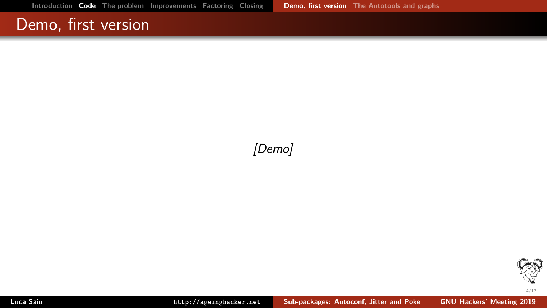#### <span id="page-3-0"></span>Demo, first version

#### [Demo]

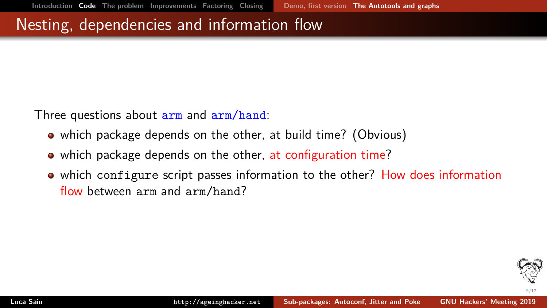#### <span id="page-4-0"></span>Nesting, dependencies and information flow

Three questions about arm and arm/hand:

- which package depends on the other, at build time? (Obvious)
- which package depends on the other, at configuration time?
- which configure script passes information to the other? How does information flow between arm and arm/hand?

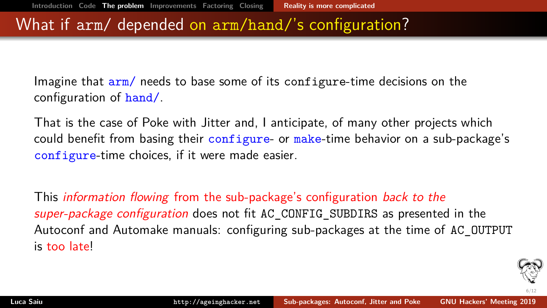#### <span id="page-5-0"></span>What if arm/ depended on arm/hand/'s configuration?

Imagine that  $arm/$  needs to base some of its configure-time decisions on the configuration of hand/.

That is the case of Poke with Jitter and, I anticipate, of many other projects which could benefit from basing their configure- or make-time behavior on a sub-package's configure-time choices, if it were made easier.

This *information flowing* from the sub-package's configuration *back to the* super-package configuration does not fit AC CONFIG SUBDIRS as presented in the Autoconf and Automake manuals: configuring sub-packages at the time of AC\_OUTPUT is too late!

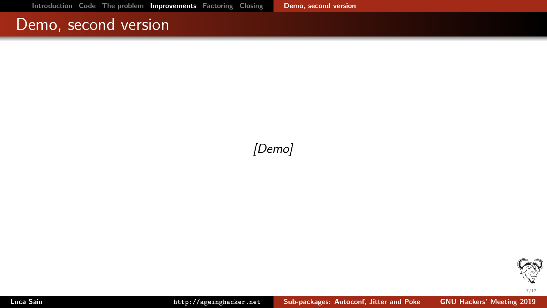#### <span id="page-6-0"></span>Demo, second version

[Demo]

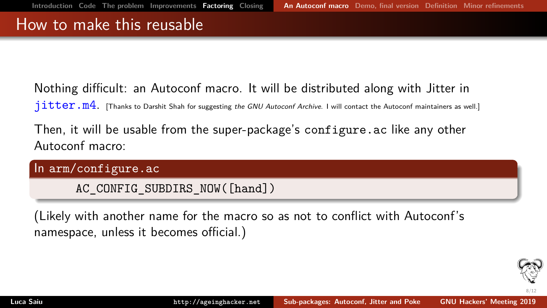#### <span id="page-7-0"></span>How to make this reusable

Nothing difficult: an Autoconf macro. It will be distributed along with Jitter in  $jitter.m4.$  [Thanks to Darshit Shah for suggesting the GNU Autoconf Archive. I will contact the Autoconf maintainers as well.]

Then, it will be usable from the super-package's configure.ac like any other Autoconf macro:

In arm/configure.ac

AC CONFIG SUBDIRS NOW([hand])

(Likely with another name for the macro so as not to conflict with Autoconf's namespace, unless it becomes official.)

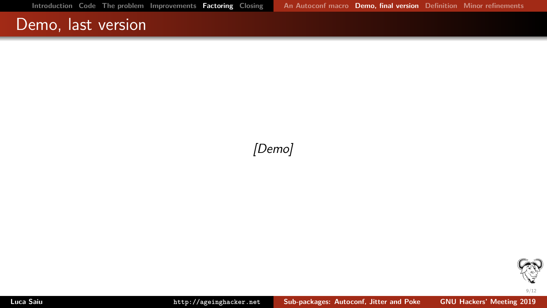### <span id="page-8-0"></span>Demo, last version

#### [Demo]

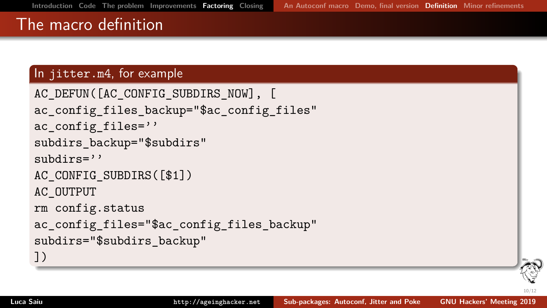# <span id="page-9-0"></span>The macro definition

#### In jitter.m4, for example

```
AC DEFUN([AC CONFIG SUBDIRS NOW], [
ac config files backup="$ac config files"
ac config files=''
subdirs backup="$subdirs"
subdirs=''AC_CONFIG_SUBDIRS([$1])
AC_OUTPUT
rm config.status
ac config files="$ac config files backup"
subdirs="$subdirs backup"
])
```
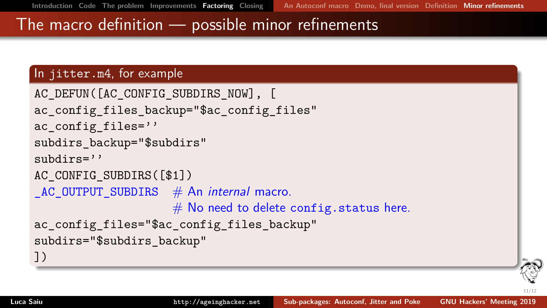11/12 .

#### <span id="page-10-0"></span>The macro definition — possible minor refinements

#### In jitter.m4, for example

```
AC DEFUN([AC CONFIG SUBDIRS NOW], [
ac config files backup="$ac config files"
ac config files=''
subdirs backup="$subdirs"
subdirs=''AC CONFIG SUBDIRS([$1])
AC OUTPUT SUBDIRS # An internal macro.
                    # No need to delete config.status here.
ac config files="$ac config files backup"
subdirs="$subdirs backup"
])
```